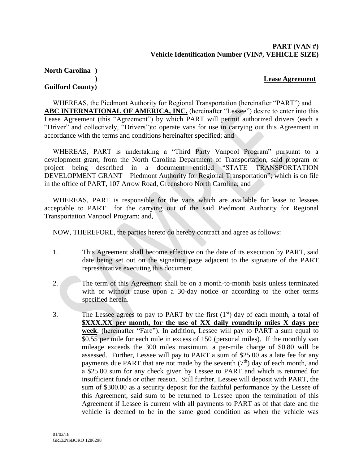#### **PART (VAN #) Vehicle Identification Number (VIN#, VEHICLE SIZE)**

#### **North Carolina )**

#### **) Lease Agreement**

#### **Guilford County)**

WHEREAS, the Piedmont Authority for Regional Transportation (hereinafter "PART") and **ABC INTERNATIONAL OF AMERICA, INC.** (hereinafter "Lessee") desire to enter into this Lease Agreement (this "Agreement") by which PART will permit authorized drivers (each a "Driver" and collectively, "Drivers")to operate vans for use in carrying out this Agreement in accordance with the terms and conditions hereinafter specified; and

WHEREAS, PART is undertaking a "Third Party Vanpool Program" pursuant to a development grant, from the North Carolina Department of Transportation, said program or project being described in a document entitled "STATE TRANSPORTATION DEVELOPMENT GRANT – Piedmont Authority for Regional Transportation"; which is on file in the office of PART, 107 Arrow Road, Greensboro North Carolina; and

WHEREAS, PART is responsible for the vans which are available for lease to lessees acceptable to PART for the carrying out of the said Piedmont Authority for Regional Transportation Vanpool Program; and,

NOW, THEREFORE, the parties hereto do hereby contract and agree as follows:

- 1. This Agreement shall become effective on the date of its execution by PART, said date being set out on the signature page adjacent to the signature of the PART representative executing this document.
- 2. The term of this Agreement shall be on a month-to-month basis unless terminated with or without cause upon a 30-day notice or according to the other terms specified herein.
- 3. The Lessee agrees to pay to PART by the first  $(1<sup>st</sup>)$  day of each month, a total of **\$XXX.XX per month, for the use of XX daily roundtrip miles X days per week**. (hereinafter "Fare"). In addition**,** Lessee will pay to PART a sum equal to \$0.55 per mile for each mile in excess of 150 (personal miles). If the monthly van mileage exceeds the 300 miles maximum, a per-mile charge of \$0.80 will be assessed. Further, Lessee will pay to PART a sum of \$25.00 as a late fee for any payments due PART that are not made by the seventh  $(7<sup>th</sup>)$  day of each month, and a \$25.00 sum for any check given by Lessee to PART and which is returned for insufficient funds or other reason. Still further, Lessee will deposit with PART, the sum of \$300.00 as a security deposit for the faithful performance by the Lessee of this Agreement, said sum to be returned to Lessee upon the termination of this Agreement if Lessee is current with all payments to PART as of that date and the vehicle is deemed to be in the same good condition as when the vehicle was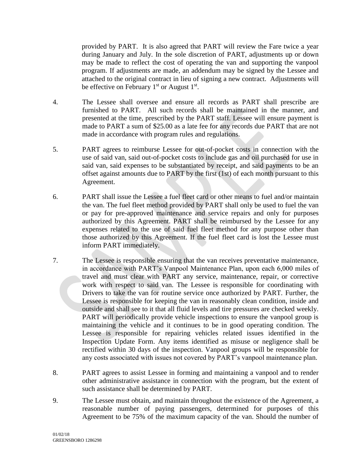provided by PART. It is also agreed that PART will review the Fare twice a year during January and July. In the sole discretion of PART, adjustments up or down may be made to reflect the cost of operating the van and supporting the vanpool program. If adjustments are made, an addendum may be signed by the Lessee and attached to the original contract in lieu of signing a new contract. Adjustments will be effective on February  $1<sup>st</sup>$  or August  $1<sup>st</sup>$ .

- 4. The Lessee shall oversee and ensure all records as PART shall prescribe are furnished to PART. All such records shall be maintained in the manner, and presented at the time, prescribed by the PART staff. Lessee will ensure payment is made to PART a sum of \$25.00 as a late fee for any records due PART that are not made in accordance with program rules and regulations.
- 5. PART agrees to reimburse Lessee for out-of-pocket costs in connection with the use of said van, said out-of-pocket costs to include gas and oil purchased for use in said van, said expenses to be substantiated by receipt, and said payments to be an offset against amounts due to PART by the first (1st) of each month pursuant to this Agreement.
- 6. PART shall issue the Lessee a fuel fleet card or other means to fuel and/or maintain the van. The fuel fleet method provided by PART shall only be used to fuel the van or pay for pre-approved maintenance and service repairs and only for purposes authorized by this Agreement. PART shall be reimbursed by the Lessee for any expenses related to the use of said fuel fleet method for any purpose other than those authorized by this Agreement. If the fuel fleet card is lost the Lessee must inform PART immediately.
- 7. The Lessee is responsible ensuring that the van receives preventative maintenance, in accordance with PART's Vanpool Maintenance Plan, upon each 6,000 miles of travel and must clear with PART any service, maintenance, repair, or corrective work with respect to said van. The Lessee is responsible for coordinating with Drivers to take the van for routine service once authorized by PART. Further, the Lessee is responsible for keeping the van in reasonably clean condition, inside and outside and shall see to it that all fluid levels and tire pressures are checked weekly. PART will periodically provide vehicle inspections to ensure the vanpool group is maintaining the vehicle and it continues to be in good operating condition. The Lessee is responsible for repairing vehicles related issues identified in the Inspection Update Form. Any items identified as misuse or negligence shall be rectified within 30 days of the inspection. Vanpool groups will be responsible for any costs associated with issues not covered by PART's vanpool maintenance plan.
- 8. PART agrees to assist Lessee in forming and maintaining a vanpool and to render other administrative assistance in connection with the program, but the extent of such assistance shall be determined by PART.
- 9. The Lessee must obtain, and maintain throughout the existence of the Agreement, a reasonable number of paying passengers, determined for purposes of this Agreement to be 75% of the maximum capacity of the van. Should the number of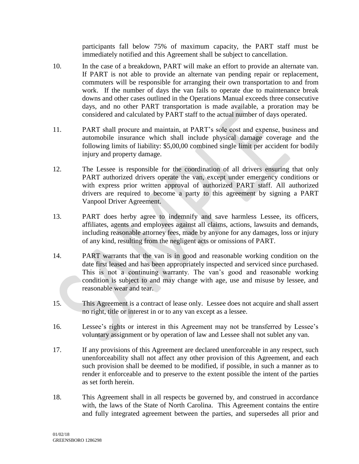participants fall below 75% of maximum capacity, the PART staff must be immediately notified and this Agreement shall be subject to cancellation.

- 10. In the case of a breakdown, PART will make an effort to provide an alternate van. If PART is not able to provide an alternate van pending repair or replacement, commuters will be responsible for arranging their own transportation to and from work. If the number of days the van fails to operate due to maintenance break downs and other cases outlined in the Operations Manual exceeds three consecutive days, and no other PART transportation is made available, a proration may be considered and calculated by PART staff to the actual number of days operated.
- 11. PART shall procure and maintain, at PART's sole cost and expense, business and automobile insurance which shall include physical damage coverage and the following limits of liability: \$5,00,00 combined single limit per accident for bodily injury and property damage.
- 12. The Lessee is responsible for the coordination of all drivers ensuring that only PART authorized drivers operate the van, except under emergency conditions or with express prior written approval of authorized PART staff. All authorized drivers are required to become a party to this agreement by signing a PART Vanpool Driver Agreement.
- 13. PART does herby agree to indemnify and save harmless Lessee, its officers, affiliates, agents and employees against all claims, actions, lawsuits and demands, including reasonable attorney fees, made by anyone for any damages, loss or injury of any kind, resulting from the negligent acts or omissions of PART.
- 14. PART warrants that the van is in good and reasonable working condition on the date first leased and has been appropriately inspected and serviced since purchased. This is not a continuing warranty. The van's good and reasonable working condition is subject to and may change with age, use and misuse by lessee, and reasonable wear and tear.
- 15. This Agreement is a contract of lease only. Lessee does not acquire and shall assert no right, title or interest in or to any van except as a lessee.
- 16. Lessee's rights or interest in this Agreement may not be transferred by Lessee's voluntary assignment or by operation of law and Lessee shall not sublet any van.
- 17. If any provisions of this Agreement are declared unenforceable in any respect, such unenforceability shall not affect any other provision of this Agreement, and each such provision shall be deemed to be modified, if possible, in such a manner as to render it enforceable and to preserve to the extent possible the intent of the parties as set forth herein.
- 18. This Agreement shall in all respects be governed by, and construed in accordance with, the laws of the State of North Carolina. This Agreement contains the entire and fully integrated agreement between the parties, and supersedes all prior and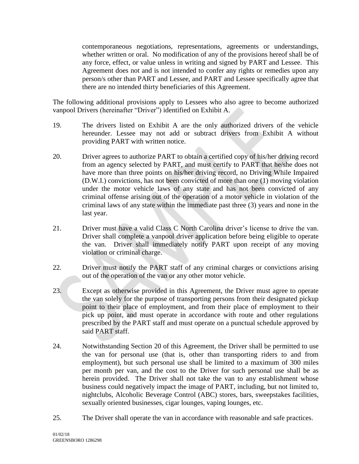contemporaneous negotiations, representations, agreements or understandings, whether written or oral. No modification of any of the provisions hereof shall be of any force, effect, or value unless in writing and signed by PART and Lessee. This Agreement does not and is not intended to confer any rights or remedies upon any person/s other than PART and Lessee, and PART and Lessee specifically agree that there are no intended thirty beneficiaries of this Agreement.

The following additional provisions apply to Lessees who also agree to become authorized vanpool Drivers (hereinafter "Driver") identified on Exhibit A.

- 19. The drivers listed on Exhibit A are the only authorized drivers of the vehicle hereunder. Lessee may not add or subtract drivers from Exhibit A without providing PART with written notice.
- 20. Driver agrees to authorize PART to obtain a certified copy of his/her driving record from an agency selected by PART, and must certify to PART that he/she does not have more than three points on his/her driving record, no Driving While Impaired (D.W.I.) convictions, has not been convicted of more than one (1) moving violation under the motor vehicle laws of any state and has not been convicted of any criminal offense arising out of the operation of a motor vehicle in violation of the criminal laws of any state within the immediate past three (3) years and none in the last year.
- 21. Driver must have a valid Class C North Carolina driver's license to drive the van. Driver shall complete a vanpool driver application before being eligible to operate the van. Driver shall immediately notify PART upon receipt of any moving violation or criminal charge.
- 22. Driver must notify the PART staff of any criminal charges or convictions arising out of the operation of the van or any other motor vehicle.
- 23. Except as otherwise provided in this Agreement, the Driver must agree to operate the van solely for the purpose of transporting persons from their designated pickup point to their place of employment, and from their place of employment to their pick up point, and must operate in accordance with route and other regulations prescribed by the PART staff and must operate on a punctual schedule approved by said PART staff.
- 24. Notwithstanding Section 20 of this Agreement, the Driver shall be permitted to use the van for personal use (that is, other than transporting riders to and from employment), but such personal use shall be limited to a maximum of 300 miles per month per van, and the cost to the Driver for such personal use shall be as herein provided. The Driver shall not take the van to any establishment whose business could negatively impact the image of PART, including, but not limited to, nightclubs, Alcoholic Beverage Control (ABC) stores, bars, sweepstakes facilities, sexually oriented businesses, cigar lounges, vaping lounges, etc.
- 25. The Driver shall operate the van in accordance with reasonable and safe practices.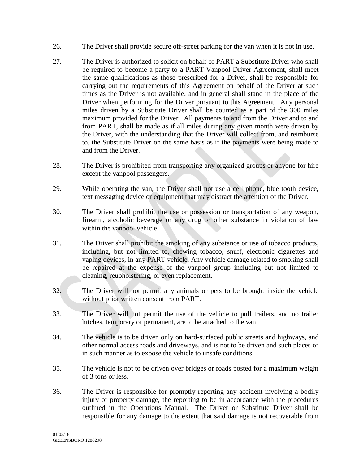- 26. The Driver shall provide secure off-street parking for the van when it is not in use.
- 27. The Driver is authorized to solicit on behalf of PART a Substitute Driver who shall be required to become a party to a PART Vanpool Driver Agreement, shall meet the same qualifications as those prescribed for a Driver, shall be responsible for carrying out the requirements of this Agreement on behalf of the Driver at such times as the Driver is not available, and in general shall stand in the place of the Driver when performing for the Driver pursuant to this Agreement. Any personal miles driven by a Substitute Driver shall be counted as a part of the 300 miles maximum provided for the Driver. All payments to and from the Driver and to and from PART, shall be made as if all miles during any given month were driven by the Driver, with the understanding that the Driver will collect from, and reimburse to, the Substitute Driver on the same basis as if the payments were being made to and from the Driver.
- 28. The Driver is prohibited from transporting any organized groups or anyone for hire except the vanpool passengers.
- 29. While operating the van, the Driver shall not use a cell phone, blue tooth device, text messaging device or equipment that may distract the attention of the Driver.
- 30. The Driver shall prohibit the use or possession or transportation of any weapon, firearm, alcoholic beverage or any drug or other substance in violation of law within the vanpool vehicle.
- 31. The Driver shall prohibit the smoking of any substance or use of tobacco products, including, but not limited to, chewing tobacco, snuff, electronic cigarettes and vaping devices, in any PART vehicle. Any vehicle damage related to smoking shall be repaired at the expense of the vanpool group including but not limited to cleaning, reupholstering, or even replacement.
- 32. The Driver will not permit any animals or pets to be brought inside the vehicle without prior written consent from PART.
- 33. The Driver will not permit the use of the vehicle to pull trailers, and no trailer hitches, temporary or permanent, are to be attached to the van.
- 34. The vehicle is to be driven only on hard-surfaced public streets and highways, and other normal access roads and driveways, and is not to be driven and such places or in such manner as to expose the vehicle to unsafe conditions.
- 35. The vehicle is not to be driven over bridges or roads posted for a maximum weight of 3 tons or less.
- 36. The Driver is responsible for promptly reporting any accident involving a bodily injury or property damage, the reporting to be in accordance with the procedures outlined in the Operations Manual. The Driver or Substitute Driver shall be responsible for any damage to the extent that said damage is not recoverable from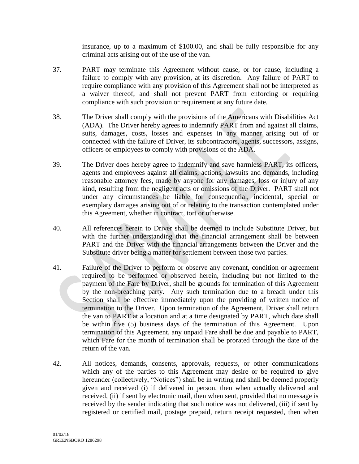insurance, up to a maximum of \$100.00, and shall be fully responsible for any criminal acts arising out of the use of the van.

- 37. PART may terminate this Agreement without cause, or for cause, including a failure to comply with any provision, at its discretion. Any failure of PART to require compliance with any provision of this Agreement shall not be interpreted as a waiver thereof, and shall not prevent PART from enforcing or requiring compliance with such provision or requirement at any future date.
- 38. The Driver shall comply with the provisions of the Americans with Disabilities Act (ADA). The Driver hereby agrees to indemnify PART from and against all claims, suits, damages, costs, losses and expenses in any manner arising out of or connected with the failure of Driver, its subcontractors, agents, successors, assigns, officers or employees to comply with provisions of the ADA.
- 39. The Driver does hereby agree to indemnify and save harmless PART, its officers, agents and employees against all claims, actions, lawsuits and demands, including reasonable attorney fees, made by anyone for any damages, loss or injury of any kind, resulting from the negligent acts or omissions of the Driver. PART shall not under any circumstances be liable for consequential, incidental, special or exemplary damages arising out of or relating to the transaction contemplated under this Agreement, whether in contract, tort or otherwise.
- 40. All references herein to Driver shall be deemed to include Substitute Driver, but with the further understanding that the financial arrangement shall be between PART and the Driver with the financial arrangements between the Driver and the Substitute driver being a matter for settlement between those two parties.
- 41. Failure of the Driver to perform or observe any covenant, condition or agreement required to be performed or observed herein, including but not limited to the payment of the Fare by Driver, shall be grounds for termination of this Agreement by the non-breaching party. Any such termination due to a breach under this Section shall be effective immediately upon the providing of written notice of termination to the Driver. Upon termination of the Agreement, Driver shall return the van to PART at a location and at a time designated by PART, which date shall be within five (5) business days of the termination of this Agreement. Upon termination of this Agreement, any unpaid Fare shall be due and payable to PART, which Fare for the month of termination shall be prorated through the date of the return of the van.
- 42. All notices, demands, consents, approvals, requests, or other communications which any of the parties to this Agreement may desire or be required to give hereunder (collectively, "Notices") shall be in writing and shall be deemed properly given and received (i) if delivered in person, then when actually delivered and received, (ii) if sent by electronic mail, then when sent, provided that no message is received by the sender indicating that such notice was not delivered, (iii) if sent by registered or certified mail, postage prepaid, return receipt requested, then when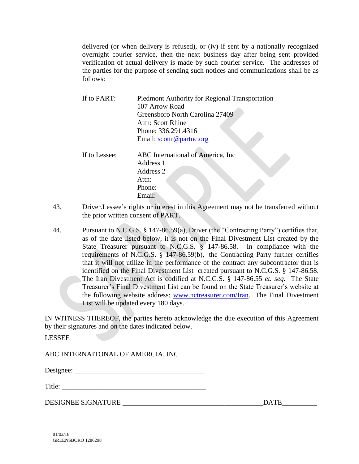delivered (or when delivery is refused), or (iv) if sent by a nationally recognized overnight courier service, then the next business day after being sent provided verification of actual delivery is made by such courier service. The addresses of the parties for the purpose of sending such notices and communications shall be as follows:

| If to PART:   | <b>Piedmont Authority for Regional Transportation</b><br>107 Arrow Road<br>Greensboro North Carolina 27409<br>Attn: Scott Rhine<br>Phone: 336.291.4316<br>Email: scottr@partnc.org |
|---------------|------------------------------------------------------------------------------------------------------------------------------------------------------------------------------------|
| If to Lessee: | ABC International of America, Inc.<br>Address 1<br>Address 2<br>Attn:<br>Phone:<br>Email:                                                                                          |

- 43. Driver.Lessee's rights or interest in this Agreement may not be transferred without the prior written consent of PART.
- 44. Pursuant to N.C.G.S. § 147-86.59(a), Driver (the "Contracting Party") certifies that, as of the date listed below, it is not on the Final Divestment List created by the State Treasurer pursuant to N.C.G.S. § 147-86.58. In compliance with the requirements of N.C.G.S. § 147-86.59(b), the Contracting Party further certifies that it will not utilize in the performance of the contract any subcontractor that is identified on the Final Divestment List created pursuant to N.C.G.S. § 147-86.58. The Iran Divestment Act is codified at N.C.G.S. § 147-86.55 *et. seq.* The State Treasurer's Final Divestment List can be found on the State Treasurer's website at the following website address: [www.nctreasurer.com/Iran.](http://www.nctreasurer.com/Iran) The Final Divestment List will be updated every 180 days.

IN WITNESS THEREOF, the parties hereto acknowledge the due execution of this Agreement by their signatures and on the dates indicated below.

LESSEE

ABC INTERNAITONAL OF AMERCIA, INC

Designee: \_\_\_\_\_\_\_\_\_\_\_\_\_\_\_\_\_\_\_\_\_\_\_\_\_\_\_\_\_\_\_\_\_\_\_\_\_

Title:

DESIGNEE SIGNATURE \_\_\_\_\_\_\_\_\_\_\_\_\_\_\_\_\_\_\_\_\_\_\_\_\_\_\_\_\_\_\_\_\_\_\_\_\_\_\_\_DATE\_\_\_\_\_\_\_\_\_\_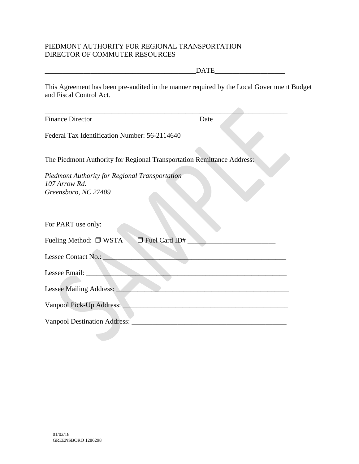### PIEDMONT AUTHORITY FOR REGIONAL TRANSPORTATION DIRECTOR OF COMMUTER RESOURCES

|                                                                                                                      | <b>DATE</b>                                                                                                          |  |
|----------------------------------------------------------------------------------------------------------------------|----------------------------------------------------------------------------------------------------------------------|--|
| This Agreement has been pre-audited in the manner required by the Local Government Budget<br>and Fiscal Control Act. |                                                                                                                      |  |
|                                                                                                                      |                                                                                                                      |  |
| <b>Finance Director</b>                                                                                              | Date                                                                                                                 |  |
| Federal Tax Identification Number: 56-2114640                                                                        |                                                                                                                      |  |
|                                                                                                                      |                                                                                                                      |  |
| The Piedmont Authority for Regional Transportation Remittance Address:                                               |                                                                                                                      |  |
| <b>Piedmont Authority for Regional Transportation</b><br>107 Arrow Rd.<br>Greensboro, NC 27409                       |                                                                                                                      |  |
| For PART use only:                                                                                                   |                                                                                                                      |  |
| Fuel Card ID#<br>Fueling Method: $\Box$ WSTA                                                                         |                                                                                                                      |  |
| Lessee Contact No.:                                                                                                  |                                                                                                                      |  |
| Lessee Email: _____                                                                                                  |                                                                                                                      |  |
| Lessee Mailing Address:                                                                                              | <u> 2000 - Jan James James Jan James James James James James James James James James James James James James Jam</u> |  |
| Vanpool Pick-Up Address:                                                                                             |                                                                                                                      |  |
| Vanpool Destination Address:                                                                                         | <u> 1980 - Johann John Stein, mars an deutscher Stein († 1950)</u>                                                   |  |